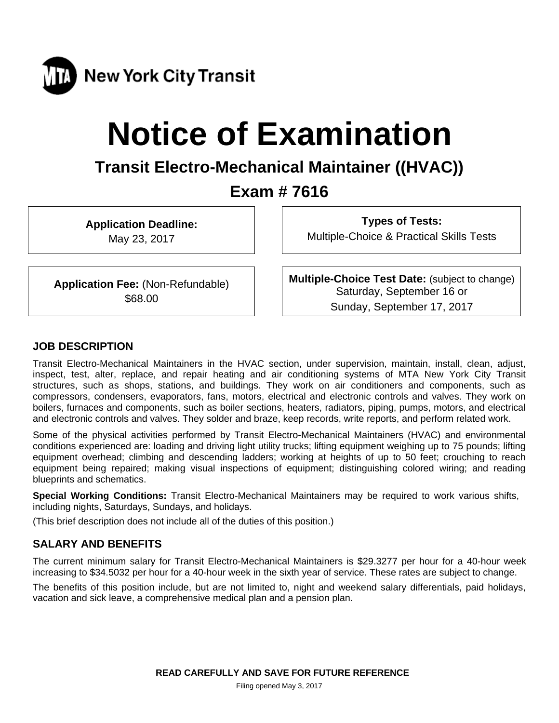

# **Notice of Examination**

# **Transit Electro-Mechanical Maintainer ((HVAC))**

# **Exam # 7616**

**Application Deadline:** 

May 23, 2017

**Types of Tests:**  Multiple-Choice & Practical Skills Tests

**Application Fee:** (Non-Refundable) \$68.00

**Multiple-Choice Test Date:** (subject to change) Saturday, September 16 or Sunday, September 17, 2017

# **JOB DESCRIPTION**

Transit Electro-Mechanical Maintainers in the HVAC section, under supervision, maintain, install, clean, adjust, inspect, test, alter, replace, and repair heating and air conditioning systems of MTA New York City Transit structures, such as shops, stations, and buildings. They work on air conditioners and components, such as compressors, condensers, evaporators, fans, motors, electrical and electronic controls and valves. They work on boilers, furnaces and components, such as boiler sections, heaters, radiators, piping, pumps, motors, and electrical and electronic controls and valves. They solder and braze, keep records, write reports, and perform related work.

Some of the physical activities performed by Transit Electro-Mechanical Maintainers (HVAC) and environmental conditions experienced are: loading and driving light utility trucks; lifting equipment weighing up to 75 pounds; lifting equipment overhead; climbing and descending ladders; working at heights of up to 50 feet; crouching to reach equipment being repaired; making visual inspections of equipment; distinguishing colored wiring; and reading blueprints and schematics.

**Special Working Conditions:** Transit Electro-Mechanical Maintainers may be required to work various shifts, including nights, Saturdays, Sundays, and holidays.

(This brief description does not include all of the duties of this position.)

# **SALARY AND BENEFITS**

The current minimum salary for Transit Electro-Mechanical Maintainers is \$29.3277 per hour for a 40-hour week increasing to \$34.5032 per hour for a 40-hour week in the sixth year of service. These rates are subject to change.

The benefits of this position include, but are not limited to, night and weekend salary differentials, paid holidays, vacation and sick leave, a comprehensive medical plan and a pension plan.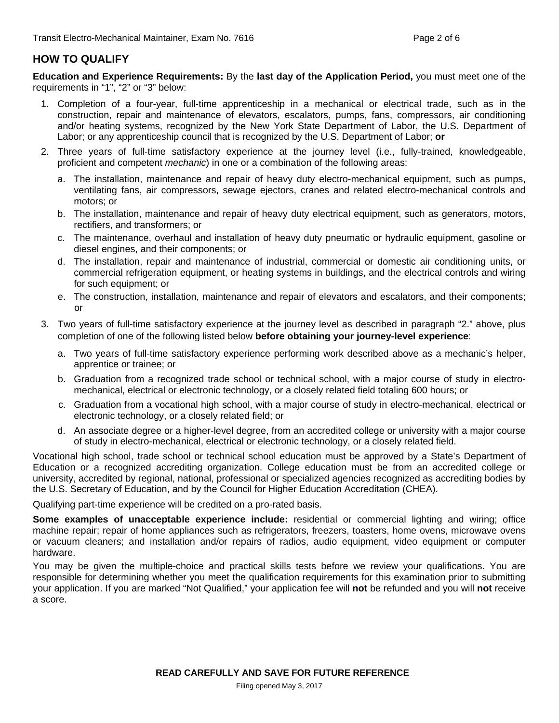# **HOW TO QUALIFY**

**Education and Experience Requirements:** By the **last day of the Application Period,** you must meet one of the requirements in "1", "2" or "3" below:

- 1. Completion of a four-year, full-time apprenticeship in a mechanical or electrical trade, such as in the construction, repair and maintenance of elevators, escalators, pumps, fans, compressors, air conditioning and/or heating systems, recognized by the New York State Department of Labor, the U.S. Department of Labor; or any apprenticeship council that is recognized by the U.S. Department of Labor; **or**
- 2. Three years of full-time satisfactory experience at the journey level (i.e., fully-trained, knowledgeable, proficient and competent *mechanic*) in one or a combination of the following areas:
	- a. The installation, maintenance and repair of heavy duty electro-mechanical equipment, such as pumps, ventilating fans, air compressors, sewage ejectors, cranes and related electro-mechanical controls and motors; or
	- b. The installation, maintenance and repair of heavy duty electrical equipment, such as generators, motors, rectifiers, and transformers; or
	- c. The maintenance, overhaul and installation of heavy duty pneumatic or hydraulic equipment, gasoline or diesel engines, and their components; or
	- d. The installation, repair and maintenance of industrial, commercial or domestic air conditioning units, or commercial refrigeration equipment, or heating systems in buildings, and the electrical controls and wiring for such equipment; or
	- e. The construction, installation, maintenance and repair of elevators and escalators, and their components; or
- 3. Two years of full-time satisfactory experience at the journey level as described in paragraph "2." above, plus completion of one of the following listed below **before obtaining your journey-level experience**:
	- a. Two years of full-time satisfactory experience performing work described above as a mechanic's helper, apprentice or trainee; or
	- b. Graduation from a recognized trade school or technical school, with a major course of study in electromechanical, electrical or electronic technology, or a closely related field totaling 600 hours; or
	- c. Graduation from a vocational high school, with a major course of study in electro-mechanical, electrical or electronic technology, or a closely related field; or
	- d. An associate degree or a higher-level degree, from an accredited college or university with a major course of study in electro-mechanical, electrical or electronic technology, or a closely related field.

Vocational high school, trade school or technical school education must be approved by a State's Department of Education or a recognized accrediting organization. College education must be from an accredited college or university, accredited by regional, national, professional or specialized agencies recognized as accrediting bodies by the U.S. Secretary of Education, and by the Council for Higher Education Accreditation (CHEA).

Qualifying part-time experience will be credited on a pro-rated basis.

**Some examples of unacceptable experience include:** residential or commercial lighting and wiring; office machine repair; repair of home appliances such as refrigerators, freezers, toasters, home ovens, microwave ovens or vacuum cleaners; and installation and/or repairs of radios, audio equipment, video equipment or computer hardware.

You may be given the multiple-choice and practical skills tests before we review your qualifications. You are responsible for determining whether you meet the qualification requirements for this examination prior to submitting your application. If you are marked "Not Qualified," your application fee will **not** be refunded and you will **not** receive a score.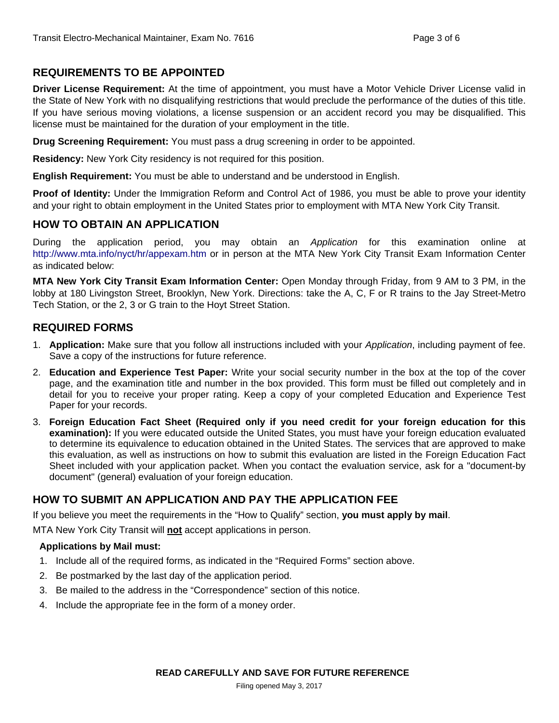# **REQUIREMENTS TO BE APPOINTED**

**Driver License Requirement:** At the time of appointment, you must have a Motor Vehicle Driver License valid in the State of New York with no disqualifying restrictions that would preclude the performance of the duties of this title. If you have serious moving violations, a license suspension or an accident record you may be disqualified. This license must be maintained for the duration of your employment in the title.

**Drug Screening Requirement:** You must pass a drug screening in order to be appointed.

**Residency:** New York City residency is not required for this position.

**English Requirement:** You must be able to understand and be understood in English.

**Proof of Identity:** Under the Immigration Reform and Control Act of 1986, you must be able to prove your identity and your right to obtain employment in the United States prior to employment with MTA New York City Transit.

# **HOW TO OBTAIN AN APPLICATION**

During the application period, you may obtain an *Application* for this examination online at http://www.mta.info/nyct/hr/appexam.htm or in person at the MTA New York City Transit Exam Information Center as indicated below:

**MTA New York City Transit Exam Information Center:** Open Monday through Friday, from 9 AM to 3 PM, in the lobby at 180 Livingston Street, Brooklyn, New York. Directions: take the A, C, F or R trains to the Jay Street-Metro Tech Station, or the 2, 3 or G train to the Hoyt Street Station.

# **REQUIRED FORMS**

- 1. **Application:** Make sure that you follow all instructions included with your *Application*, including payment of fee. Save a copy of the instructions for future reference.
- 2. **Education and Experience Test Paper:** Write your social security number in the box at the top of the cover page, and the examination title and number in the box provided. This form must be filled out completely and in detail for you to receive your proper rating. Keep a copy of your completed Education and Experience Test Paper for your records.
- 3. **Foreign Education Fact Sheet (Required only if you need credit for your foreign education for this examination):** If you were educated outside the United States, you must have your foreign education evaluated to determine its equivalence to education obtained in the United States. The services that are approved to make this evaluation, as well as instructions on how to submit this evaluation are listed in the Foreign Education Fact Sheet included with your application packet. When you contact the evaluation service, ask for a "document-by document" (general) evaluation of your foreign education.

# **HOW TO SUBMIT AN APPLICATION AND PAY THE APPLICATION FEE**

If you believe you meet the requirements in the "How to Qualify" section, **you must apply by mail**.

MTA New York City Transit will **not** accept applications in person.

#### **Applications by Mail must:**

- 1. Include all of the required forms, as indicated in the "Required Forms" section above.
- 2. Be postmarked by the last day of the application period.
- 3. Be mailed to the address in the "Correspondence" section of this notice.
- 4. Include the appropriate fee in the form of a money order.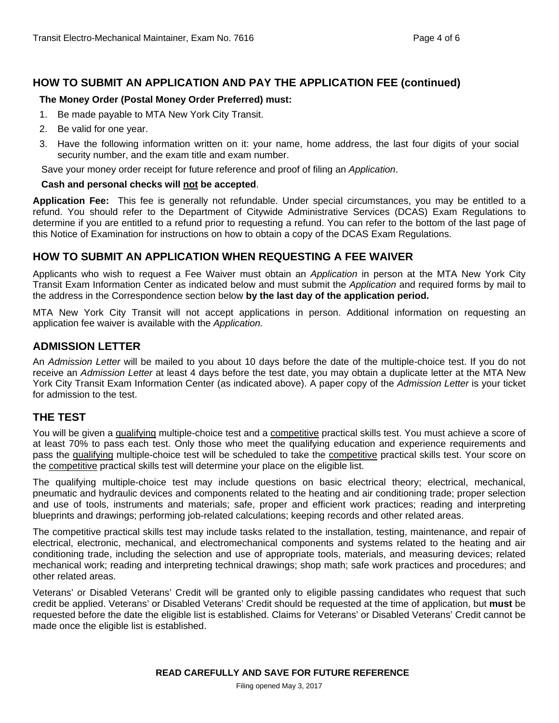# **HOW TO SUBMIT AN APPLICATION AND PAY THE APPLICATION FEE (continued)**

#### **The Money Order (Postal Money Order Preferred) must:**

- 1. Be made payable to MTA New York City Transit.
- 2. Be valid for one year.
- 3. Have the following information written on it: your name, home address, the last four digits of your social security number, and the exam title and exam number.

Save your money order receipt for future reference and proof of filing an *Application*.

#### **Cash and personal checks will not be accepted**.

**Application Fee:** This fee is generally not refundable. Under special circumstances, you may be entitled to a refund. You should refer to the Department of Citywide Administrative Services (DCAS) Exam Regulations to determine if you are entitled to a refund prior to requesting a refund. You can refer to the bottom of the last page of this Notice of Examination for instructions on how to obtain a copy of the DCAS Exam Regulations.

## **HOW TO SUBMIT AN APPLICATION WHEN REQUESTING A FEE WAIVER**

Applicants who wish to request a Fee Waiver must obtain an *Application* in person at the MTA New York City Transit Exam Information Center as indicated below and must submit the *Application* and required forms by mail to the address in the Correspondence section below **by the last day of the application period.**

MTA New York City Transit will not accept applications in person. Additional information on requesting an application fee waiver is available with the *Application.* 

# **ADMISSION LETTER**

An *Admission Letter* will be mailed to you about 10 days before the date of the multiple-choice test. If you do not receive an *Admission Letter* at least 4 days before the test date, you may obtain a duplicate letter at the MTA New York City Transit Exam Information Center (as indicated above). A paper copy of the *Admission Letter* is your ticket for admission to the test.

# **THE TEST**

You will be given a qualifying multiple-choice test and a competitive practical skills test. You must achieve a score of at least 70% to pass each test. Only those who meet the qualifying education and experience requirements and pass the qualifying multiple-choice test will be scheduled to take the competitive practical skills test. Your score on the competitive practical skills test will determine your place on the eligible list.

The qualifying multiple-choice test may include questions on basic electrical theory; electrical, mechanical, pneumatic and hydraulic devices and components related to the heating and air conditioning trade; proper selection and use of tools, instruments and materials; safe, proper and efficient work practices; reading and interpreting blueprints and drawings; performing job-related calculations; keeping records and other related areas.

The competitive practical skills test may include tasks related to the installation, testing, maintenance, and repair of electrical, electronic, mechanical, and electromechanical components and systems related to the heating and air conditioning trade, including the selection and use of appropriate tools, materials, and measuring devices; related mechanical work; reading and interpreting technical drawings; shop math; safe work practices and procedures; and other related areas.

Veterans' or Disabled Veterans' Credit will be granted only to eligible passing candidates who request that such credit be applied. Veterans' or Disabled Veterans' Credit should be requested at the time of application, but **must** be requested before the date the eligible list is established. Claims for Veterans' or Disabled Veterans' Credit cannot be made once the eligible list is established.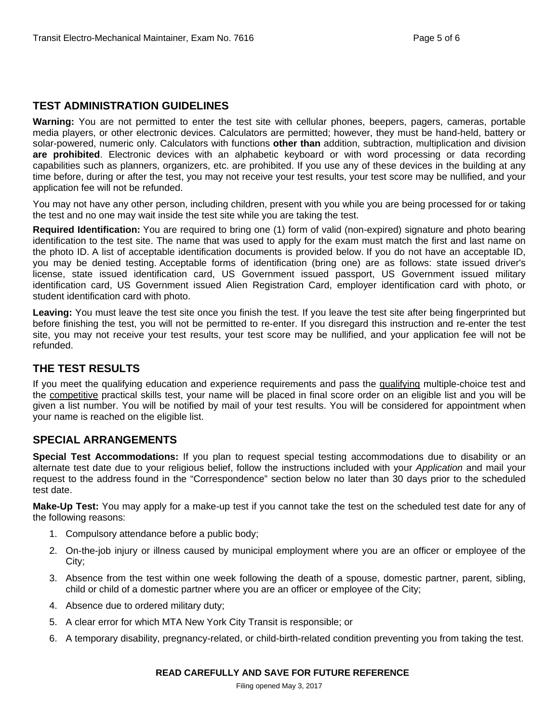## **TEST ADMINISTRATION GUIDELINES**

**Warning:** You are not permitted to enter the test site with cellular phones, beepers, pagers, cameras, portable media players, or other electronic devices. Calculators are permitted; however, they must be hand-held, battery or solar-powered, numeric only. Calculators with functions **other than** addition, subtraction, multiplication and division **are prohibited**. Electronic devices with an alphabetic keyboard or with word processing or data recording capabilities such as planners, organizers, etc. are prohibited. If you use any of these devices in the building at any time before, during or after the test, you may not receive your test results, your test score may be nullified, and your application fee will not be refunded.

You may not have any other person, including children, present with you while you are being processed for or taking the test and no one may wait inside the test site while you are taking the test.

**Required Identification:** You are required to bring one (1) form of valid (non-expired) signature and photo bearing identification to the test site. The name that was used to apply for the exam must match the first and last name on the photo ID. A list of acceptable identification documents is provided below. If you do not have an acceptable ID, you may be denied testing. Acceptable forms of identification (bring one) are as follows: state issued driver's license, state issued identification card, US Government issued passport, US Government issued military identification card, US Government issued Alien Registration Card, employer identification card with photo, or student identification card with photo.

**Leaving:** You must leave the test site once you finish the test. If you leave the test site after being fingerprinted but before finishing the test, you will not be permitted to re-enter. If you disregard this instruction and re-enter the test site, you may not receive your test results, your test score may be nullified, and your application fee will not be refunded.

# **THE TEST RESULTS**

If you meet the qualifying education and experience requirements and pass the qualifying multiple-choice test and the competitive practical skills test, your name will be placed in final score order on an eligible list and you will be given a list number. You will be notified by mail of your test results. You will be considered for appointment when your name is reached on the eligible list.

#### **SPECIAL ARRANGEMENTS**

**Special Test Accommodations:** If you plan to request special testing accommodations due to disability or an alternate test date due to your religious belief, follow the instructions included with your *Application* and mail your request to the address found in the "Correspondence" section below no later than 30 days prior to the scheduled test date.

**Make-Up Test:** You may apply for a make-up test if you cannot take the test on the scheduled test date for any of the following reasons:

- 1. Compulsory attendance before a public body;
- 2. On-the-job injury or illness caused by municipal employment where you are an officer or employee of the City;
- 3. Absence from the test within one week following the death of a spouse, domestic partner, parent, sibling, child or child of a domestic partner where you are an officer or employee of the City;
- 4. Absence due to ordered military duty;
- 5. A clear error for which MTA New York City Transit is responsible; or
- 6. A temporary disability, pregnancy-related, or child-birth-related condition preventing you from taking the test.